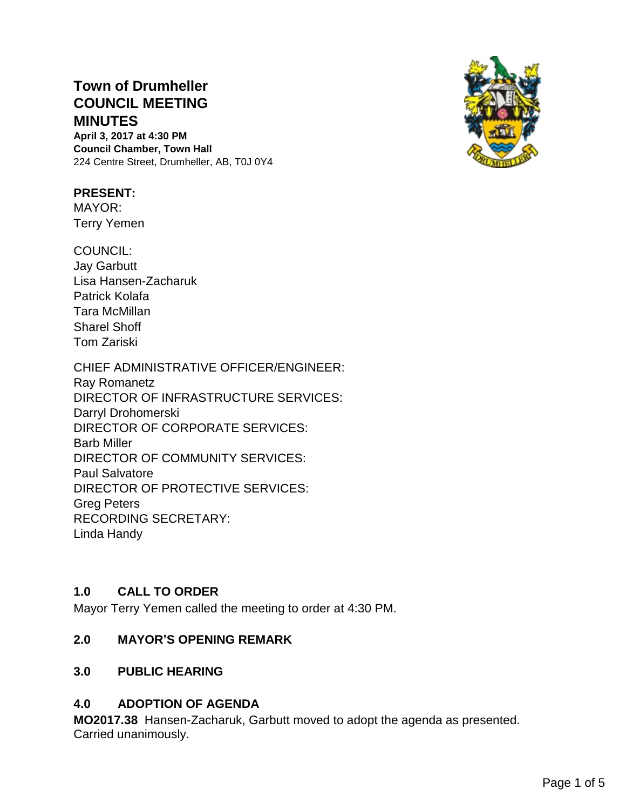# **Town of Drumheller COUNCIL MEETING MINUTES**

**April 3, 2017 at 4:30 PM Council Chamber, Town Hall** 224 Centre Street, Drumheller, AB, T0J 0Y4

### **PRESENT:**

MAYOR: Terry Yemen

COUNCIL: Jay Garbutt Lisa Hansen-Zacharuk Patrick Kolafa Tara McMillan Sharel Shoff Tom Zariski

CHIEF ADMINISTRATIVE OFFICER/ENGINEER: Ray Romanetz DIRECTOR OF INFRASTRUCTURE SERVICES: Darryl Drohomerski DIRECTOR OF CORPORATE SERVICES: Barb Miller DIRECTOR OF COMMUNITY SERVICES: Paul Salvatore DIRECTOR OF PROTECTIVE SERVICES: Greg Peters RECORDING SECRETARY: Linda Handy

# **1.0 CALL TO ORDER**

Mayor Terry Yemen called the meeting to order at 4:30 PM.

# **2.0 MAYOR'S OPENING REMARK**

# **3.0 PUBLIC HEARING**

# **4.0 ADOPTION OF AGENDA**

**MO2017.38** Hansen-Zacharuk, Garbutt moved to adopt the agenda as presented. Carried unanimously.

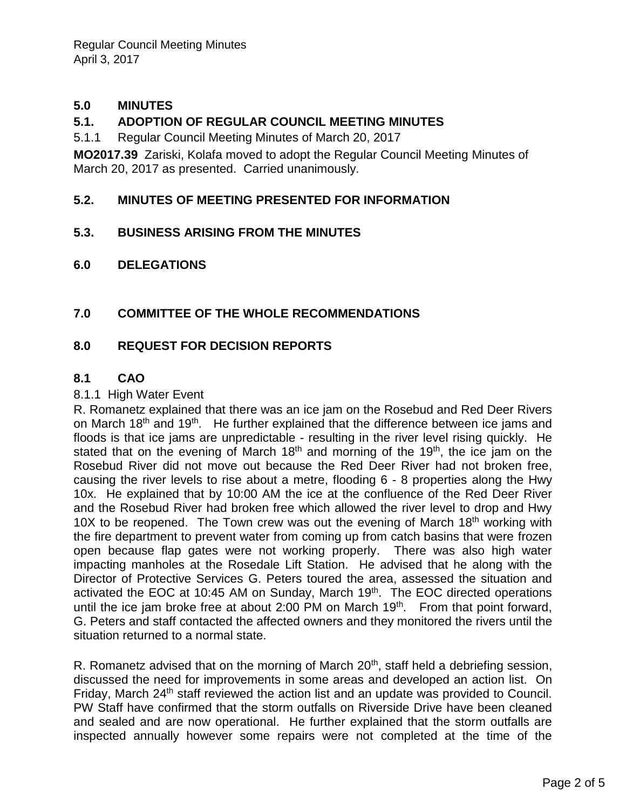### **5.0 MINUTES**

### **5.1. ADOPTION OF REGULAR COUNCIL MEETING MINUTES**

5.1.1 Regular Council Meeting Minutes of March 20, 2017

**MO2017.39** Zariski, Kolafa moved to adopt the Regular Council Meeting Minutes of March 20, 2017 as presented. Carried unanimously.

### **5.2. MINUTES OF MEETING PRESENTED FOR INFORMATION**

#### **5.3. BUSINESS ARISING FROM THE MINUTES**

**6.0 DELEGATIONS**

### **7.0 COMMITTEE OF THE WHOLE RECOMMENDATIONS**

#### **8.0 REQUEST FOR DECISION REPORTS**

#### **8.1 CAO**

#### 8.1.1 High Water Event

R. Romanetz explained that there was an ice jam on the Rosebud and Red Deer Rivers on March 18<sup>th</sup> and 19<sup>th</sup>. He further explained that the difference between ice jams and floods is that ice jams are unpredictable - resulting in the river level rising quickly. He stated that on the evening of March 18<sup>th</sup> and morning of the 19<sup>th</sup>, the ice jam on the Rosebud River did not move out because the Red Deer River had not broken free, causing the river levels to rise about a metre, flooding 6 - 8 properties along the Hwy 10x. He explained that by 10:00 AM the ice at the confluence of the Red Deer River and the Rosebud River had broken free which allowed the river level to drop and Hwy 10X to be reopened. The Town crew was out the evening of March 18<sup>th</sup> working with the fire department to prevent water from coming up from catch basins that were frozen open because flap gates were not working properly. There was also high water impacting manholes at the Rosedale Lift Station. He advised that he along with the Director of Protective Services G. Peters toured the area, assessed the situation and activated the EOC at 10:45 AM on Sunday, March 19<sup>th</sup>. The EOC directed operations until the ice jam broke free at about 2:00 PM on March  $19<sup>th</sup>$ . From that point forward, G. Peters and staff contacted the affected owners and they monitored the rivers until the situation returned to a normal state.

R. Romanetz advised that on the morning of March 20<sup>th</sup>, staff held a debriefing session, discussed the need for improvements in some areas and developed an action list. On Friday, March 24<sup>th</sup> staff reviewed the action list and an update was provided to Council. PW Staff have confirmed that the storm outfalls on Riverside Drive have been cleaned and sealed and are now operational. He further explained that the storm outfalls are inspected annually however some repairs were not completed at the time of the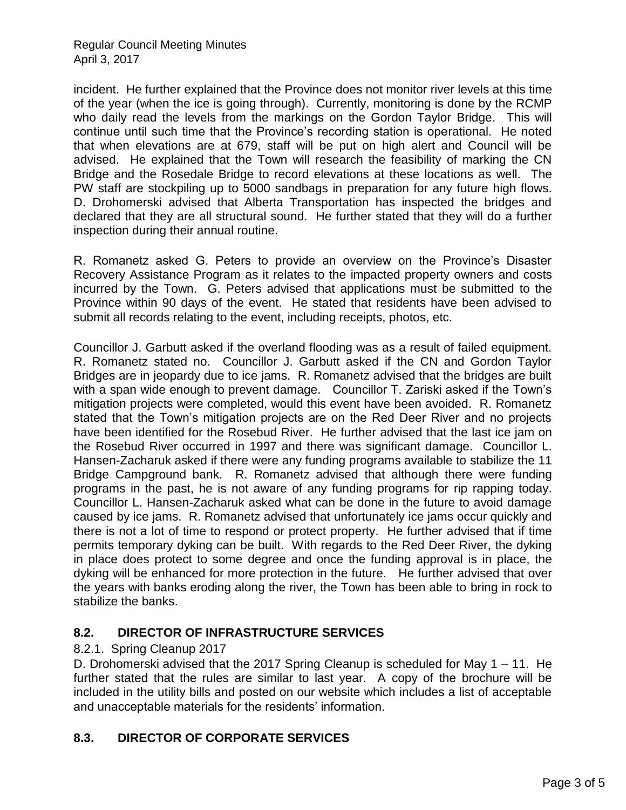### Regular Council Meeting Minutes April 3, 2017

incident. He further explained that the Province does not monitor river levels at this time of the year (when the ice is going through). Currently, monitoring is done by the RCMP who daily read the levels from the markings on the Gordon Taylor Bridge. This will continue until such time that the Province's recording station is operational. He noted that when elevations are at 679, staff will be put on high alert and Council will be advised. He explained that the Town will research the feasibility of marking the CN Bridge and the Rosedale Bridge to record elevations at these locations as well. The PW staff are stockpiling up to 5000 sandbags in preparation for any future high flows. D. Drohomerski advised that Alberta Transportation has inspected the bridges and declared that they are all structural sound. He further stated that they will do a further inspection during their annual routine.

R. Romanetz asked G. Peters to provide an overview on the Province's Disaster Recovery Assistance Program as it relates to the impacted property owners and costs incurred by the Town. G. Peters advised that applications must be submitted to the Province within 90 days of the event. He stated that residents have been advised to submit all records relating to the event, including receipts, photos, etc.

Councillor J. Garbutt asked if the overland flooding was as a result of failed equipment. R. Romanetz stated no. Councillor J. Garbutt asked if the CN and Gordon Taylor Bridges are in jeopardy due to ice jams. R. Romanetz advised that the bridges are built with a span wide enough to prevent damage. Councillor T. Zariski asked if the Town's mitigation projects were completed, would this event have been avoided. R. Romanetz stated that the Town's mitigation projects are on the Red Deer River and no projects have been identified for the Rosebud River. He further advised that the last ice jam on the Rosebud River occurred in 1997 and there was significant damage. Councillor L. Hansen-Zacharuk asked if there were any funding programs available to stabilize the 11 Bridge Campground bank. R. Romanetz advised that although there were funding programs in the past, he is not aware of any funding programs for rip rapping today. Councillor L. Hansen-Zacharuk asked what can be done in the future to avoid damage caused by ice jams. R. Romanetz advised that unfortunately ice jams occur quickly and there is not a lot of time to respond or protect property. He further advised that if time permits temporary dyking can be built. With regards to the Red Deer River, the dyking in place does protect to some degree and once the funding approval is in place, the dyking will be enhanced for more protection in the future. He further advised that over the years with banks eroding along the river, the Town has been able to bring in rock to stabilize the banks.

# **8.2. DIRECTOR OF INFRASTRUCTURE SERVICES**

### 8.2.1. Spring Cleanup 2017

D. Drohomerski advised that the 2017 Spring Cleanup is scheduled for May 1 – 11. He further stated that the rules are similar to last year. A copy of the brochure will be included in the utility bills and posted on our website which includes a list of acceptable and unacceptable materials for the residents' information.

# **8.3. DIRECTOR OF CORPORATE SERVICES**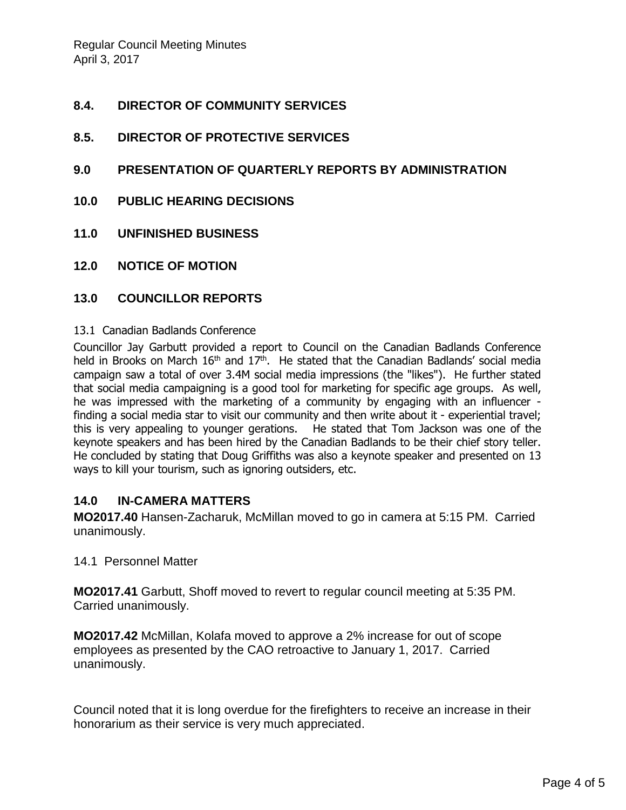### **8.4. DIRECTOR OF COMMUNITY SERVICES**

- **8.5. DIRECTOR OF PROTECTIVE SERVICES**
- **9.0 PRESENTATION OF QUARTERLY REPORTS BY ADMINISTRATION**
- **10.0 PUBLIC HEARING DECISIONS**
- **11.0 UNFINISHED BUSINESS**
- **12.0 NOTICE OF MOTION**

#### **13.0 COUNCILLOR REPORTS**

#### 13.1 Canadian Badlands Conference

Councillor Jay Garbutt provided a report to Council on the Canadian Badlands Conference held in Brooks on March 16<sup>th</sup> and 17<sup>th</sup>. He stated that the Canadian Badlands' social media campaign saw a total of over 3.4M social media impressions (the "likes"). He further stated that social media campaigning is a good tool for marketing for specific age groups. As well, he was impressed with the marketing of a community by engaging with an influencer finding a social media star to visit our community and then write about it - experiential travel; this is very appealing to younger gerations. He stated that Tom Jackson was one of the keynote speakers and has been hired by the Canadian Badlands to be their chief story teller. He concluded by stating that Doug Griffiths was also a keynote speaker and presented on 13 ways to kill your tourism, such as ignoring outsiders, etc.

### **14.0 IN-CAMERA MATTERS**

**MO2017.40** Hansen-Zacharuk, McMillan moved to go in camera at 5:15 PM. Carried unanimously.

#### 14.1 Personnel Matter

**MO2017.41** Garbutt, Shoff moved to revert to regular council meeting at 5:35 PM. Carried unanimously.

**MO2017.42** McMillan, Kolafa moved to approve a 2% increase for out of scope employees as presented by the CAO retroactive to January 1, 2017. Carried unanimously.

Council noted that it is long overdue for the firefighters to receive an increase in their honorarium as their service is very much appreciated.